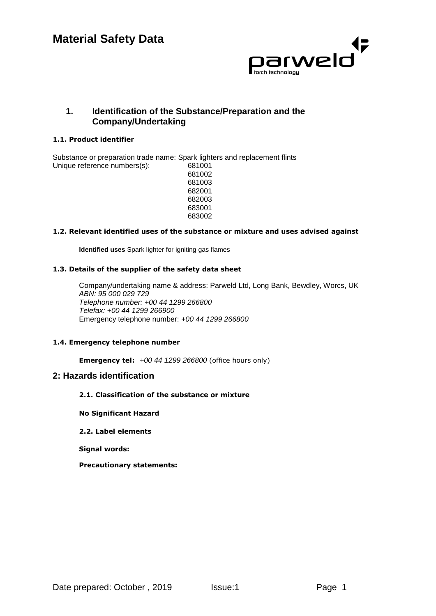

# **1. Identification of the Substance/Preparation and the Company/Undertaking**

### **1.1. Product identifier**

Substance or preparation trade name: Spark lighters and replacement flints Unique reference numbers(s): 681001

#### **1.2. Relevant identified uses of the substance or mixture and uses advised against**

**Identified uses** Spark lighter for igniting gas flames

### **1.3. Details of the supplier of the safety data sheet**

Company/undertaking name & address: Parweld Ltd, Long Bank, Bewdley, Worcs, UK *ABN: 95 000 029 729 Telephone number: +00 44 1299 266800 Telefax: +00 44 1299 266900*  Emergency telephone number: *+00 44 1299 266800*

#### **1.4. Emergency telephone number**

**Emergency tel:** *+00 44 1299 266800* (office hours only)

### **2: Hazards identification**

### **2.1. Classification of the substance or mixture**

**No Significant Hazard**

#### **2.2. Label elements**

**Signal words:** 

**Precautionary statements:**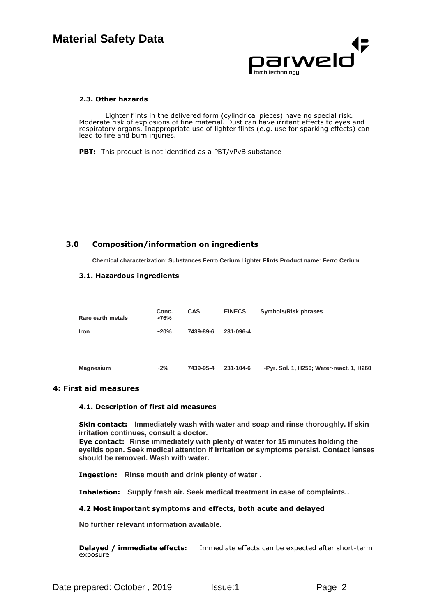

#### **2.3. Other hazards**

Lighter flints in the delivered form (cylindrical pieces) have no special risk. Moderate risk of explosions of fine material. Dust can have irritant effects to eyes and respiratory organs. Inappropriate use of lighter flints (e.g. use for sparking effects) can lead to fire and burn injuries.

**PBT:** This product is not identified as a PBT/vPvB substance

### **3.0 Composition/information on ingredients**

**Chemical characterization: Substances Ferro Cerium Lighter Flints Product name: Ferro Cerium**

#### **3.1. Hazardous ingredients**

| Rare earth metals | Conc.<br>>76% | <b>CAS</b> | <b>EINECS</b> | Symbols/Risk phrases                     |
|-------------------|---------------|------------|---------------|------------------------------------------|
| <b>Iron</b>       | $~20\%$       | 7439-89-6  | 231-096-4     |                                          |
|                   |               |            |               |                                          |
| <b>Magnesium</b>  | $-2%$         | 7439-95-4  | 231-104-6     | -Pyr. Sol. 1, H250; Water-react. 1, H260 |

### **4: First aid measures**

#### **4.1. Description of first aid measures**

**Skin contact: Immediately wash with water and soap and rinse thoroughly. If skin irritation continues, consult a doctor.**

**Eye contact: Rinse immediately with plenty of water for 15 minutes holding the eyelids open. Seek medical attention if irritation or symptoms persist. Contact lenses should be removed. Wash with water.**

**Ingestion: Rinse mouth and drink plenty of water .**

**Inhalation: Supply fresh air. Seek medical treatment in case of complaints..**

#### **4.2 Most important symptoms and effects, both acute and delayed**

**No further relevant information available.**

**Delayed / immediate effects:** Immediate effects can be expected after short-term exposure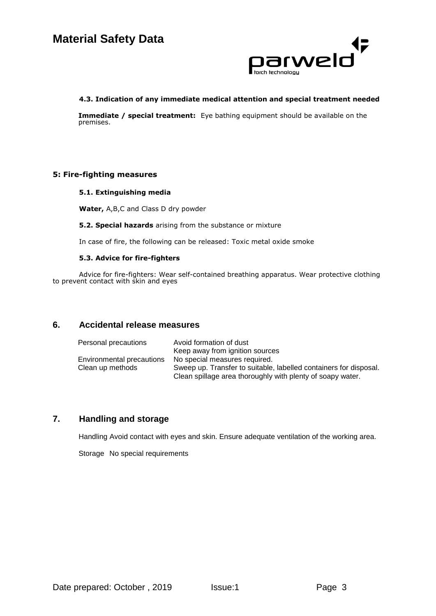

#### **4.3. Indication of any immediate medical attention and special treatment needed**

**Immediate / special treatment:** Eye bathing equipment should be available on the premises.

### **5: Fire-fighting measures**

#### **5.1. Extinguishing media**

**Water,** A,B,C and Class D dry powder

**5.2. Special hazards** arising from the substance or mixture

In case of fire, the following can be released: Toxic metal oxide smoke

#### **5.3. Advice for fire-fighters**

Advice for fire-fighters: Wear self-contained breathing apparatus. Wear protective clothing to prevent contact with skin and eyes

### **6. Accidental release measures**

| Personal precautions      | Avoid formation of dust                                           |
|---------------------------|-------------------------------------------------------------------|
|                           | Keep away from ignition sources                                   |
| Environmental precautions | No special measures required.                                     |
| Clean up methods          | Sweep up. Transfer to suitable, labelled containers for disposal. |
|                           | Clean spillage area thoroughly with plenty of soapy water.        |

# **7. Handling and storage**

Handling Avoid contact with eyes and skin. Ensure adequate ventilation of the working area.

Storage No special requirements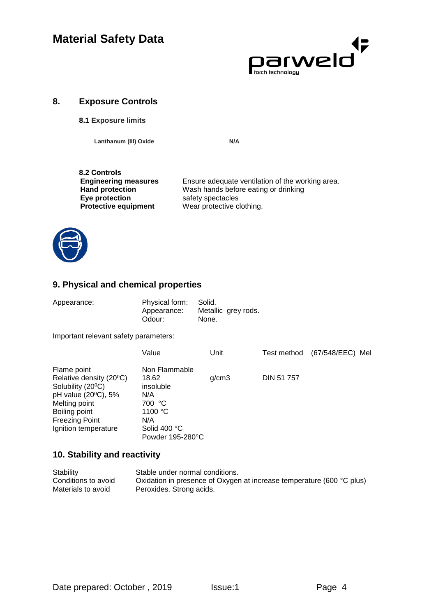

### **8. Exposure Controls**

### **8.1 Exposure limits**

Lanthanum (III) Oxide N/A

**8.2 Controls Protective equipment** 

**Engineering measures** Ensure adequate ventilation of the working area.<br> **Hand protection** Wash hands before eating or drinking **Hand protection** Wash hands before eating or drinking<br> **Eye protection** safety spectacles safety spectacles<br>Wear protective clothing.



# **9. Physical and chemical properties**

| Appearance: | Physical form: Solid.<br>Appearance: | Metallic grey rods. |  |
|-------------|--------------------------------------|---------------------|--|
|             | Odour:                               | None.               |  |

Important relevant safety parameters:

|                                      | Value            | Unit  |                   | Test method | (67/548/EEC) Mel |  |
|--------------------------------------|------------------|-------|-------------------|-------------|------------------|--|
| Flame point                          | Non Flammable    |       |                   |             |                  |  |
| Relative density (20 <sup>o</sup> C) | 18.62            | q/cm3 | <b>DIN 51 757</b> |             |                  |  |
| Solubility (20 <sup>o</sup> C)       | insoluble        |       |                   |             |                  |  |
| pH value (20 <sup>o</sup> C), 5%     | N/A              |       |                   |             |                  |  |
| Melting point                        | 700 °C           |       |                   |             |                  |  |
| Boiling point                        | 1100 $\degree$ C |       |                   |             |                  |  |
| Freezing Point                       | N/A              |       |                   |             |                  |  |
| Ignition temperature                 | Solid 400 °C     |       |                   |             |                  |  |
|                                      | Powder 195-280°C |       |                   |             |                  |  |

# **10. Stability and reactivity**

| Stability           | Stable under normal conditions.                                       |
|---------------------|-----------------------------------------------------------------------|
| Conditions to avoid | Oxidation in presence of Oxygen at increase temperature (600 °C plus) |
| Materials to avoid  | Peroxides. Strong acids.                                              |